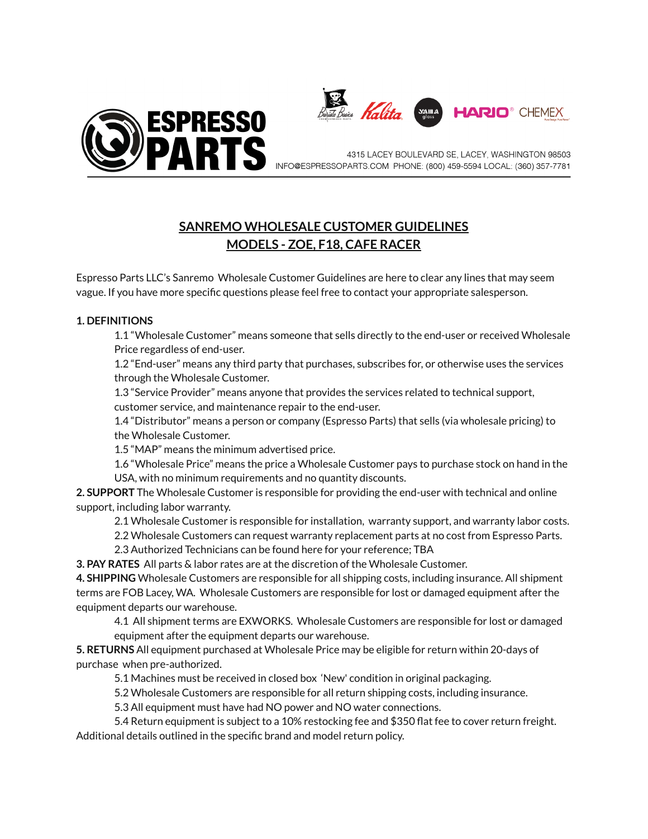



4315 LACEY BOULEVARD SE, LACEY, WASHINGTON 98503 INFO@ESPRESSOPARTS.COM PHONE: (800) 459-5594 LOCAL: (360) 357-7781

## **SANREMO WHOLESALE CUSTOMER GUIDELINES MODELS - ZOE, F18, CAFE RACER**

Espresso Parts LLC's Sanremo Wholesale Customer Guidelines are here to clear any lines that may seem vague. If you have more specific questions please feel free to contact your appropriate salesperson.

## **1. DEFINITIONS**

1.1 "Wholesale Customer" means someone that sells directly to the end-user or received Wholesale Price regardless of end-user.

1.2 "End-user" means any third party that purchases, subscribes for, or otherwise uses the services through the Wholesale Customer.

1.3 "Service Provider" means anyone that provides the services related to technical support, customer service, and maintenance repair to the end-user.

1.4 "Distributor" means a person or company (Espresso Parts) that sells (via wholesale pricing) to the Wholesale Customer.

1.5 "MAP" means the minimum advertised price.

1.6 "Wholesale Price" means the price a Wholesale Customer pays to purchase stock on hand in the USA, with no minimum requirements and no quantity discounts.

**2. SUPPORT** The Wholesale Customer is responsible for providing the end-user with technical and online support, including labor warranty.

2.1 Wholesale Customer is responsible for installation, warranty support, and warranty labor costs.

2.2 Wholesale Customers can request warranty replacement parts at no cost from Espresso Parts.

2.3 Authorized Technicians can be found here for your reference; TBA

**3. PAY RATES** All parts & labor rates are at the discretion of the Wholesale Customer.

**4. SHIPPING** Wholesale Customers are responsible for all shipping costs, including insurance. All shipment terms are FOB Lacey, WA. Wholesale Customers are responsible for lost or damaged equipment after the equipment departs our warehouse.

4.1 All shipment terms are EXWORKS. Wholesale Customers are responsible for lost or damaged equipment after the equipment departs our warehouse.

**5. RETURNS** All equipment purchased at Wholesale Price may be eligible for return within 20-days of purchase when pre-authorized.

5.1 Machines must be received in closed box 'New' condition in original packaging.

5.2 Wholesale Customers are responsible for all return shipping costs, including insurance.

5.3 All equipment must have had NO power and NO water connections.

5.4 Return equipment is subject to a 10% restocking fee and \$350 flat fee to cover return freight. Additional details outlined in the specific brand and model return policy.